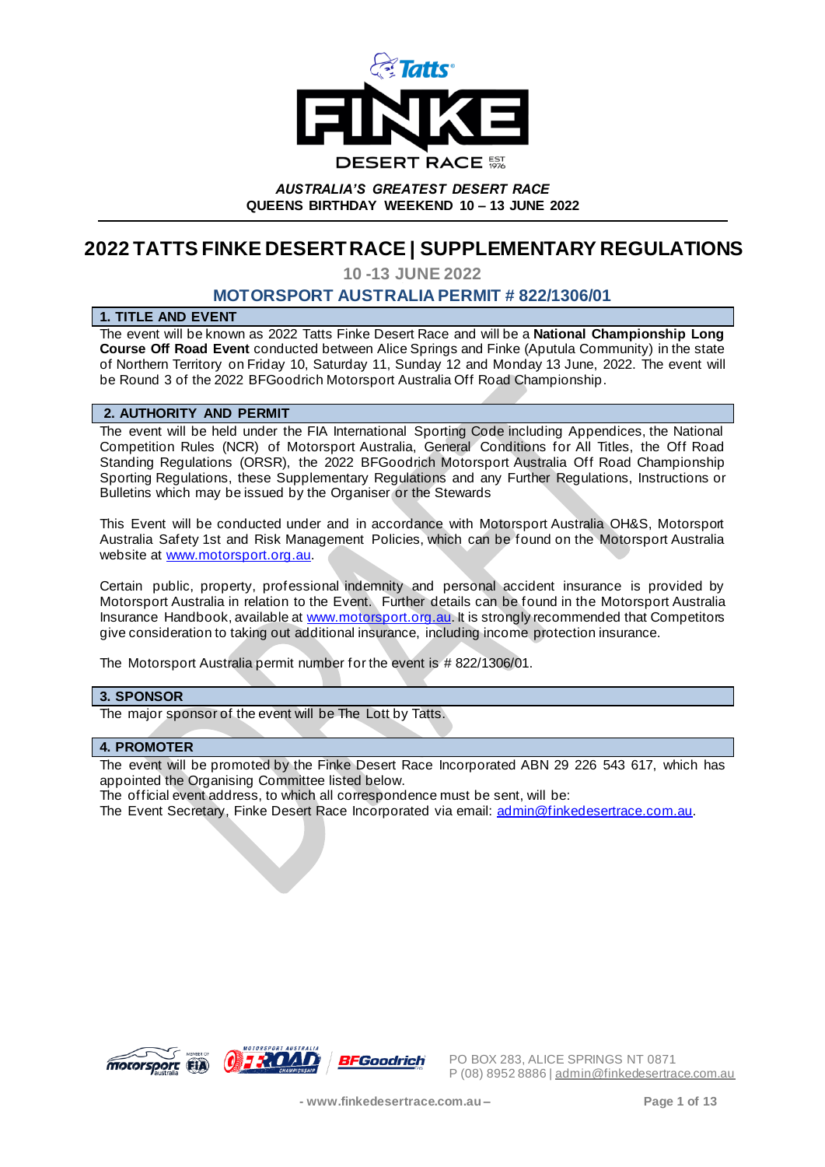

# **2022 TATTS FINKE DESERT RACE | SUPPLEMENTARY REGULATIONS**

**10 -13 JUNE 20** - **22**

## **MOTORSPORT AUSTRALIA PERMIT # 822/1306/01**

## **1. TITLE AND EVENT**

The event will be known as 2022 Tatts Finke Desert Race and will be a **National Championship Long Course Off Road Event** conducted between Alice Springs and Finke (Aputula Community) in the state of Northern Territory on Friday 10, Saturday 11, Sunday 12 and Monday 13 June, 2022. The event will be Round 3 of the 2022 BFGoodrich Motorsport Australia Off Road Championship.

## **2. AUTHORITY AND PERMIT**

The event will be held under the FIA International Sporting Code including Appendices, the National Competition Rules (NCR) of Motorsport Australia, General Conditions for All Titles, the Off Road Standing Regulations (ORSR), the 2022 BFGoodrich Motorsport Australia Off Road Championship Sporting Regulations, these Supplementary Regulations and any Further Regulations, Instructions or Bulletins which may be issued by the Organiser or the Stewards

This Event will be conducted under and in accordance with Motorsport Australia OH&S, Motorsport Australia Safety 1st and Risk Management Policies, which can be found on the Motorsport Australia website at www.motorsport.org.au.

Certain public, property, professional indemnity and personal accident insurance is provided by Motorsport Australia in relation to the Event. Further details can be found in the Motorsport Australia Insurance Handbook, available at www.motorsport.org.au. It is strongly recommended that Competitors give consideration to taking out additional insurance, including income protection insurance.

The Motorsport Australia permit number for the event is # 822/1306/01.

## **3. SPONSOR**

The major sponsor of the event will be The Lott by Tatts.

#### **4. PROMOTER**

The event will be promoted by the Finke Desert Race Incorporated ABN 29 226 543 617, which has appointed the Organising Committee listed below.

The official event address, to which all correspondence must be sent, will be:

The Event Secretary, Finke Desert Race Incorporated via email: admin@finkedesertrace.com.au.

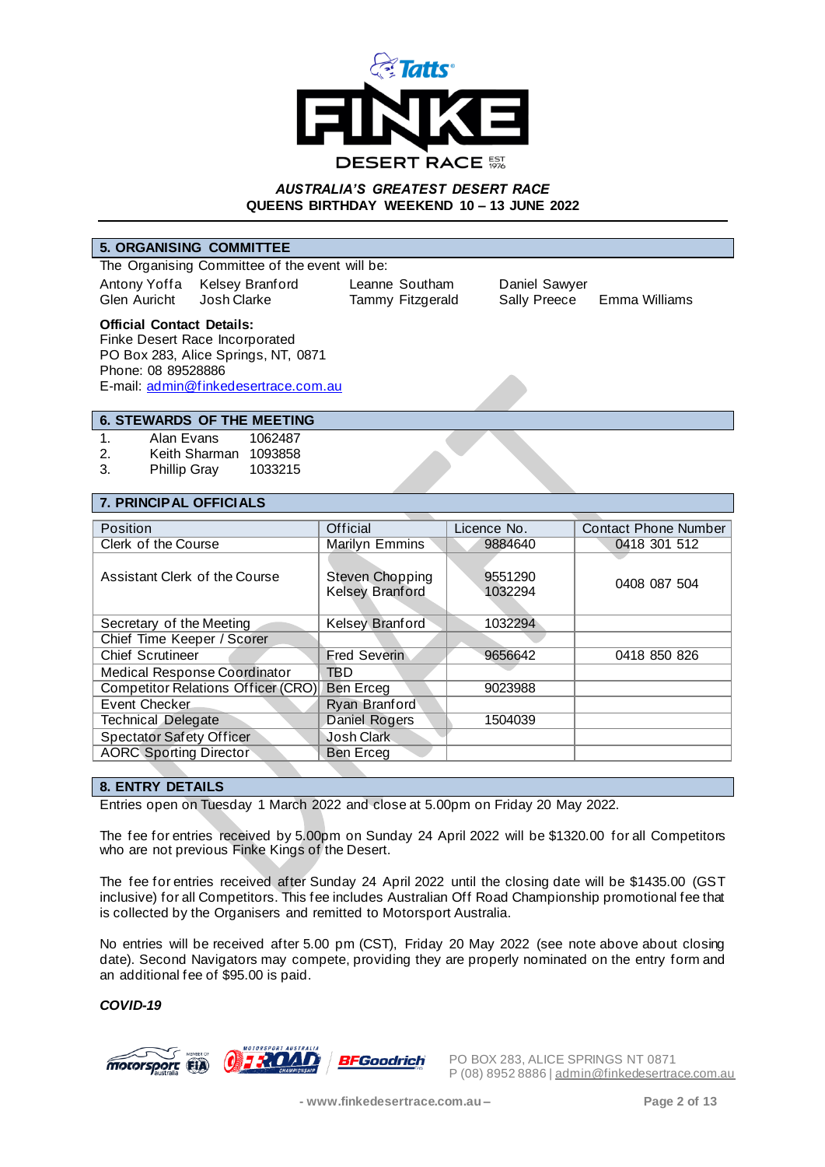

#### **5. ORGANISING COMMITTEE**

The Organising Committee of the event will be: Antony Yoffa Kelsey Branford Leanne Southam Daniel Sawyer<br>
Glen Auricht Josh Clarke Tammy Fitzgerald Sally Preece

Tammy Fitzgerald Sally Preece Emma Williams

#### **Official Contact Details:**

Finke Desert Race Incorporated PO Box 283, Alice Springs, NT, 0871 Phone: 08 89528886 E-mail: admin@finkedesertrace.com.au

## **6. STEWARDS OF THE MEETING**

1. Alan Evans 1062487

2. Keith Sharman 1093858

3. Phillip Gray 1033215

#### **7. PRINCIPAL OFFICIALS**

| Position                           | Official                                  | Licence No.        | <b>Contact Phone Number</b> |
|------------------------------------|-------------------------------------------|--------------------|-----------------------------|
| Clerk of the Course                | Marilyn Emmins                            | 9884640            | 0418 301 512                |
| Assistant Clerk of the Course      | Steven Chopping<br><b>Kelsey Branford</b> | 9551290<br>1032294 | 0408 087 504                |
| Secretary of the Meeting           | Kelsey Branford                           | 1032294            |                             |
| Chief Time Keeper / Scorer         |                                           |                    |                             |
| <b>Chief Scrutineer</b>            | <b>Fred Severin</b>                       | 9656642            | 0418 850 826                |
| Medical Response Coordinator       | TBD                                       |                    |                             |
| Competitor Relations Officer (CRO) | Ben Erceg                                 | 9023988            |                             |
| Event Checker                      | Ryan Branford                             |                    |                             |
| <b>Technical Delegate</b>          | Daniel Rogers                             | 1504039            |                             |
| <b>Spectator Safety Officer</b>    | Josh Clark                                |                    |                             |
| <b>AORC Sporting Director</b>      | Ben Erceg                                 |                    |                             |

#### **8. ENTRY DETAILS**

Entries open on Tuesday 1 March 2022 and close at 5.00pm on Friday 20 May 2022.

The fee for entries received by 5.00pm on Sunday 24 April 2022 will be \$1320.00 for all Competitors who are not previous Finke Kings of the Desert.

The fee for entries received after Sunday 24 April 2022 until the closing date will be \$1435.00 (GST inclusive) for all Competitors. This fee includes Australian Off Road Championship promotional fee that is collected by the Organisers and remitted to Motorsport Australia.

No entries will be received after 5.00 pm (CST), Friday 20 May 2022 (see note above about closing date). Second Navigators may compete, providing they are properly nominated on the entry form and an additional fee of \$95.00 is paid.

*COVID-19*

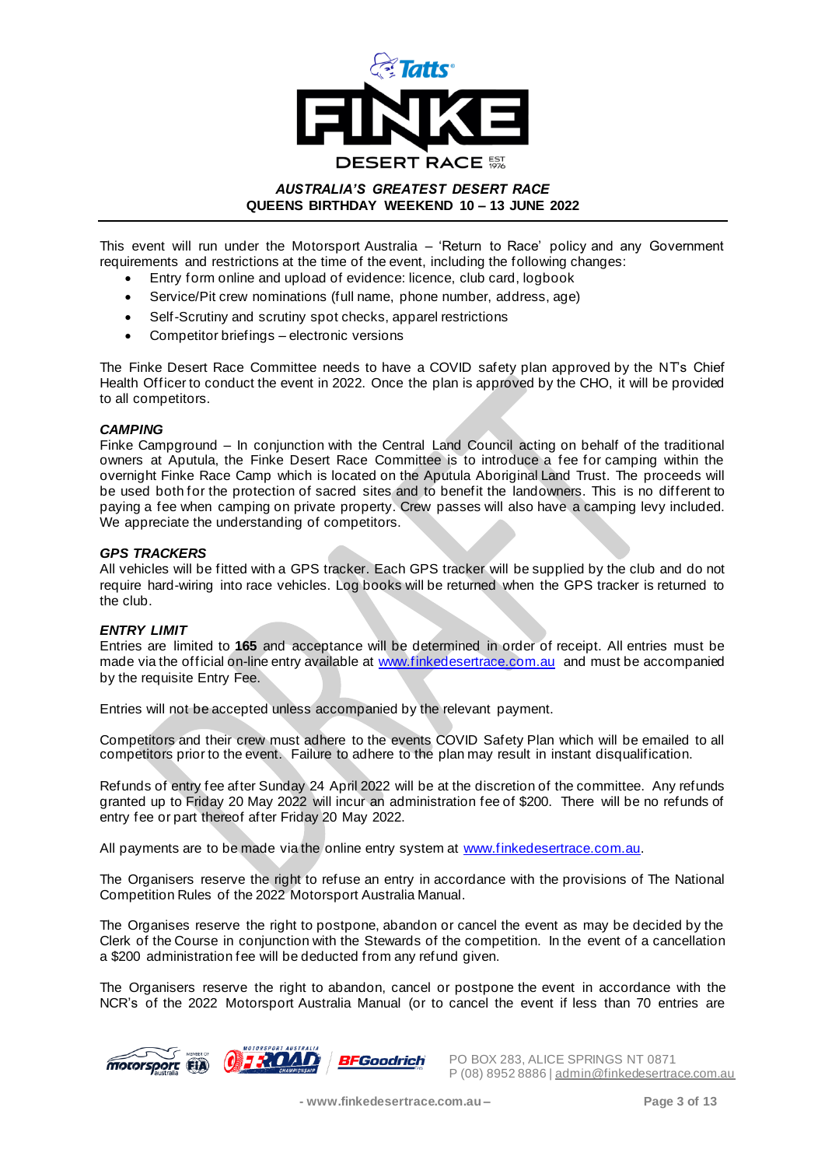

This event will run under the Motorsport Australia – 'Return to Race' policy and any Government requirements and restrictions at the time of the event, including the following changes:

- Entry form online and upload of evidence: licence, club card, logbook
- Service/Pit crew nominations (full name, phone number, address, age)
- Self-Scrutiny and scrutiny spot checks, apparel restrictions
- Competitor briefings electronic versions

The Finke Desert Race Committee needs to have a COVID safety plan approved by the NT's Chief Health Officer to conduct the event in 2022. Once the plan is approved by the CHO, it will be provided to all competitors.

## *CAMPING*

Finke Campground – In conjunction with the Central Land Council acting on behalf of the traditional owners at Aputula, the Finke Desert Race Committee is to introduce a fee for camping within the overnight Finke Race Camp which is located on the Aputula Aboriginal Land Trust. The proceeds will be used both for the protection of sacred sites and to benefit the landowners. This is no different to paying a fee when camping on private property. Crew passes will also have a camping levy included. We appreciate the understanding of competitors.

#### *GPS TRACKERS*

All vehicles will be fitted with a GPS tracker. Each GPS tracker will be supplied by the club and do not require hard-wiring into race vehicles. Log books will be returned when the GPS tracker is returned to the club.

#### *ENTRY LIMIT*

Entries are limited to **165** and acceptance will be determined in order of receipt. All entries must be made via the official on-line entry available at www.finkedesertrace.com.au and must be accompanied by the requisite Entry Fee.

Entries will not be accepted unless accompanied by the relevant payment.

Competitors and their crew must adhere to the events COVID Safety Plan which will be emailed to all competitors prior to the event. Failure to adhere to the plan may result in instant disqualification.

Refunds of entry fee after Sunday 24 April 2022 will be at the discretion of the committee. Any refunds granted up to Friday 20 May 2022 will incur an administration fee of \$200. There will be no refunds of entry fee or part thereof after Friday 20 May 2022.

All payments are to be made via the online entry system at www.finkedesertrace.com.au.

The Organisers reserve the right to refuse an entry in accordance with the provisions of The National Competition Rules of the 2022 Motorsport Australia Manual.

The Organises reserve the right to postpone, abandon or cancel the event as may be decided by the Clerk of the Course in conjunction with the Stewards of the competition. In the event of a cancellation a \$200 administration fee will be deducted from any refund given.

The Organisers reserve the right to abandon, cancel or postpone the event in accordance with the NCR's of the 2022 Motorsport Australia Manual (or to cancel the event if less than 70 entries are

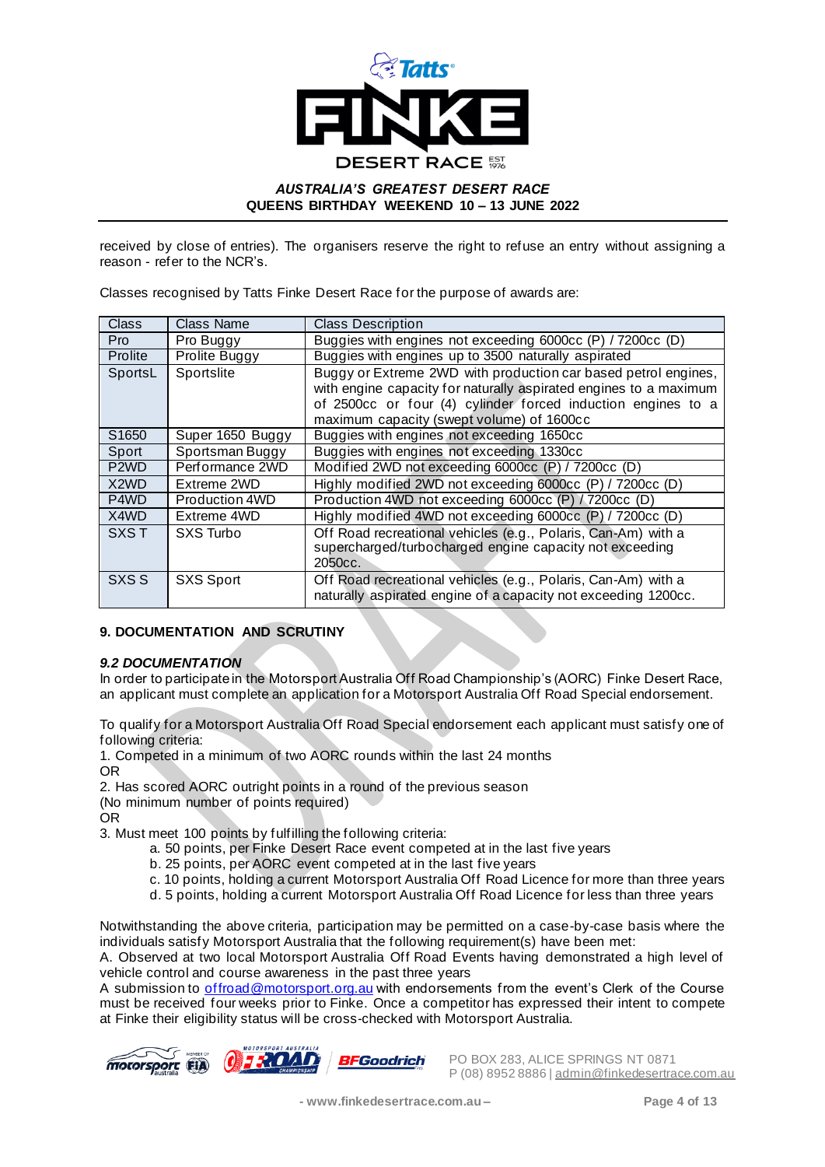

received by close of entries). The organisers reserve the right to refuse an entry without assigning a reason - refer to the NCR's.

Classes recognised by Tatts Finke Desert Race for the purpose of awards are:

| <b>Class</b>                  | <b>Class Name</b> | <b>Class Description</b>                                          |  |  |
|-------------------------------|-------------------|-------------------------------------------------------------------|--|--|
| Pro                           | Pro Buggy         | Buggies with engines not exceeding 6000cc (P) / 7200cc (D)        |  |  |
| <b>Prolite</b>                | Prolite Buggy     | Buggies with engines up to 3500 naturally aspirated               |  |  |
| SportsL                       | Sportslite        | Buggy or Extreme 2WD with production car based petrol engines,    |  |  |
|                               |                   | with engine capacity for naturally aspirated engines to a maximum |  |  |
|                               |                   | of 2500cc or four (4) cylinder forced induction engines to a      |  |  |
|                               |                   | maximum capacity (swept volume) of 1600cc                         |  |  |
| S1650                         | Super 1650 Buggy  | Buggies with engines not exceeding 1650cc                         |  |  |
| Sport                         | Sportsman Buggy   | Buggies with engines not exceeding 1330cc                         |  |  |
| P <sub>2</sub> W <sub>D</sub> | Performance 2WD   | Modified 2WD not exceeding 6000cc (P) / 7200cc (D)                |  |  |
| X <sub>2</sub> W <sub>D</sub> | Extreme 2WD       | Highly modified 2WD not exceeding 6000cc (P) / 7200cc (D)         |  |  |
| P4WD                          | Production 4WD    | Production 4WD not exceeding 6000cc (P) / 7200cc (D)              |  |  |
| X4WD                          | Extreme 4WD       | Highly modified 4WD not exceeding 6000cc (P) / 7200cc (D)         |  |  |
| <b>SXST</b>                   | SXS Turbo         | Off Road recreational vehicles (e.g., Polaris, Can-Am) with a     |  |  |
|                               |                   | supercharged/turbocharged engine capacity not exceeding           |  |  |
|                               |                   | 2050 <sub>cc</sub> .                                              |  |  |
| SXS S                         | SXS Sport         | Off Road recreational vehicles (e.g., Polaris, Can-Am) with a     |  |  |
|                               |                   | naturally aspirated engine of a capacity not exceeding 1200cc.    |  |  |

## **9. DOCUMENTATION AND SCRUTINY**

#### *9.2 DOCUMENTATION*

In order to participate in the Motorsport Australia Off Road Championship's (AORC) Finke Desert Race, an applicant must complete an application for a Motorsport Australia Off Road Special endorsement.

To qualify for a Motorsport Australia Off Road Special endorsement each applicant must satisfy one of following criteria:

1. Competed in a minimum of two AORC rounds within the last 24 months OR

2. Has scored AORC outright points in a round of the previous season

(No minimum number of points required)

OR

3. Must meet 100 points by fulfilling the following criteria:

- a. 50 points, per Finke Desert Race event competed at in the last five years
- b. 25 points, per AORC event competed at in the last five years
- c. 10 points, holding a current Motorsport Australia Off Road Licence for more than three years
- d. 5 points, holding a current Motorsport Australia Off Road Licence for less than three years

Notwithstanding the above criteria, participation may be permitted on a case-by-case basis where the individuals satisfy Motorsport Australia that the following requirement(s) have been met:

A. Observed at two local Motorsport Australia Off Road Events having demonstrated a high level of vehicle control and course awareness in the past three years

A submission to *offroad@motorsport.org.au* with endorsements from the event's Clerk of the Course must be received four weeks prior to Finke. Once a competitor has expressed their intent to compete at Finke their eligibility status will be cross-checked with Motorsport Australia.

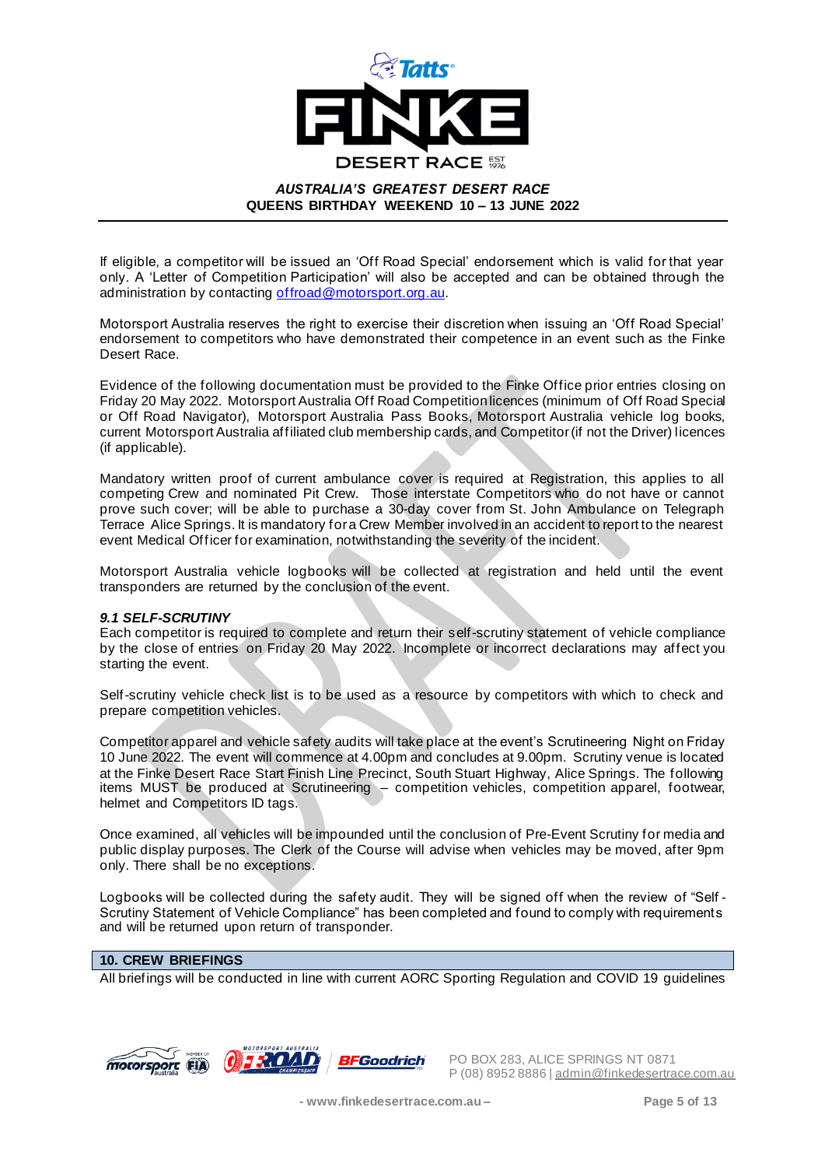

If eligible, a competitor will be issued an 'Off Road Special' endorsement which is valid for that year only. A 'Letter of Competition Participation' will also be accepted and can be obtained through the administration by contacting offroad@motorsport.org.au.

Motorsport Australia reserves the right to exercise their discretion when issuing an 'Off Road Special' endorsement to competitors who have demonstrated their competence in an event such as the Finke Desert Race.

Evidence of the following documentation must be provided to the Finke Office prior entries closing on Friday 20 May 2022. Motorsport Australia Off Road Competition licences (minimum of Off Road Special or Off Road Navigator), Motorsport Australia Pass Books, Motorsport Australia vehicle log books, current Motorsport Australia affiliated club membership cards, and Competitor (if not the Driver) licences (if applicable).

Mandatory written proof of current ambulance cover is required at Registration, this applies to all competing Crew and nominated Pit Crew. Those interstate Competitors who do not have or cannot prove such cover; will be able to purchase a 30-day cover from St. John Ambulance on Telegraph Terrace Alice Springs. It is mandatory for a Crew Member involved in an accident to report to the nearest event Medical Officer for examination, notwithstanding the severity of the incident.

Motorsport Australia vehicle logbooks will be collected at registration and held until the event transponders are returned by the conclusion of the event.

#### *9.1 SELF-SCRUTINY*

Each competitor is required to complete and return their self-scrutiny statement of vehicle compliance by the close of entries on Friday 20 May 2022. Incomplete or incorrect declarations may affect you starting the event.

Self-scrutiny vehicle check list is to be used as a resource by competitors with which to check and prepare competition vehicles.

Competitor apparel and vehicle safety audits will take place at the event's Scrutineering Night on Friday 10 June 2022. The event will commence at 4.00pm and concludes at 9.00pm. Scrutiny venue is located at the Finke Desert Race Start Finish Line Precinct, South Stuart Highway, Alice Springs. The following items MUST be produced at Scrutineering – competition vehicles, competition apparel, footwear, helmet and Competitors ID tags.

Once examined, all vehicles will be impounded until the conclusion of Pre-Event Scrutiny for media and public display purposes. The Clerk of the Course will advise when vehicles may be moved, after 9pm only. There shall be no exceptions.

Logbooks will be collected during the safety audit. They will be signed off when the review of "Self - Scrutiny Statement of Vehicle Compliance" has been completed and found to comply with requirements and will be returned upon return of transponder.

## **10. CREW BRIEFINGS**

All briefings will be conducted in line with current AORC Sporting Regulation and COVID 19 guidelines

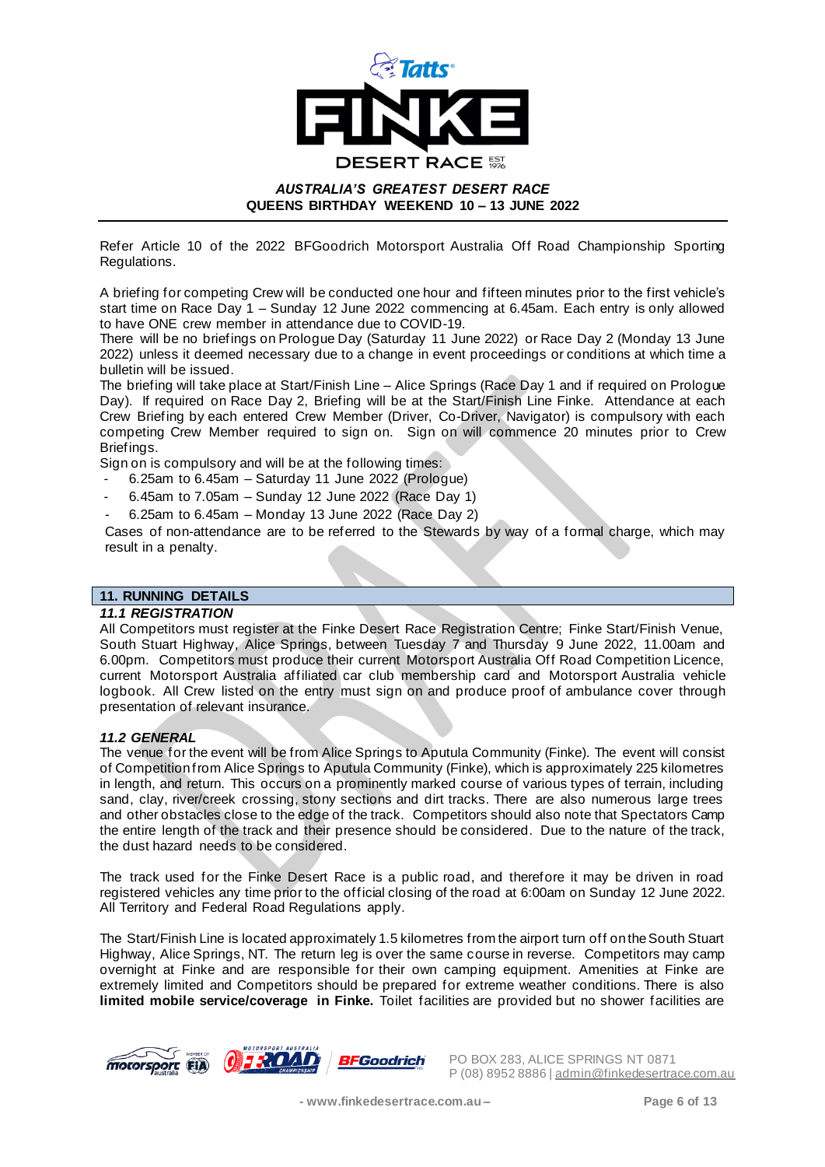

Refer Article 10 of the 2022 BFGoodrich Motorsport Australia Off Road Championship Sporting Regulations.

A briefing for competing Crew will be conducted one hour and fifteen minutes prior to the first vehicle's start time on Race Day 1 – Sunday 12 June 2022 commencing at 6.45am. Each entry is only allowed to have ONE crew member in attendance due to COVID-19.

There will be no briefings on Prologue Day (Saturday 11 June 2022) or Race Day 2 (Monday 13 June 2022) unless it deemed necessary due to a change in event proceedings or conditions at which time a bulletin will be issued.

The briefing will take place at Start/Finish Line – Alice Springs (Race Day 1 and if required on Prologue Day). If required on Race Day 2, Briefing will be at the Start/Finish Line Finke. Attendance at each Crew Briefing by each entered Crew Member (Driver, Co-Driver, Navigator) is compulsory with each competing Crew Member required to sign on. Sign on will commence 20 minutes prior to Crew Briefings.

Sign on is compulsory and will be at the following times:

- 6.25am to 6.45am Saturday 11 June 2022 (Prologue)
- 6.45am to 7.05am Sunday 12 June 2022 (Race Day 1)
- 6.25am to 6.45am Monday 13 June 2022 (Race Day 2)

Cases of non-attendance are to be referred to the Stewards by way of a formal charge, which may result in a penalty.

## **11. RUNNING DETAILS**

#### *11.1 REGISTRATION*

All Competitors must register at the Finke Desert Race Registration Centre; Finke Start/Finish Venue, South Stuart Highway, Alice Springs, between Tuesday 7 and Thursday 9 June 2022, 11.00am and 6.00pm. Competitors must produce their current Motorsport Australia Off Road Competition Licence, current Motorsport Australia affiliated car club membership card and Motorsport Australia vehicle logbook. All Crew listed on the entry must sign on and produce proof of ambulance cover through presentation of relevant insurance.

#### *11.2 GENERAL*

The venue for the event will be from Alice Springs to Aputula Community (Finke). The event will consist of Competition from Alice Springs to Aputula Community (Finke), which is approximately 225 kilometres in length, and return. This occurs on a prominently marked course of various types of terrain, including sand, clay, river/creek crossing, stony sections and dirt tracks. There are also numerous large trees and other obstacles close to the edge of the track. Competitors should also note that Spectators Camp the entire length of the track and their presence should be considered. Due to the nature of the track, the dust hazard needs to be considered.

The track used for the Finke Desert Race is a public road, and therefore it may be driven in road registered vehicles any time prior to the official closing of the road at 6:00am on Sunday 12 June 2022. All Territory and Federal Road Regulations apply.

The Start/Finish Line is located approximately 1.5 kilometres from the airport turn off on the South Stuart Highway, Alice Springs, NT. The return leg is over the same course in reverse. Competitors may camp overnight at Finke and are responsible for their own camping equipment. Amenities at Finke are extremely limited and Competitors should be prepared for extreme weather conditions. There is also **limited mobile service/coverage in Finke.** Toilet facilities are provided but no shower facilities are

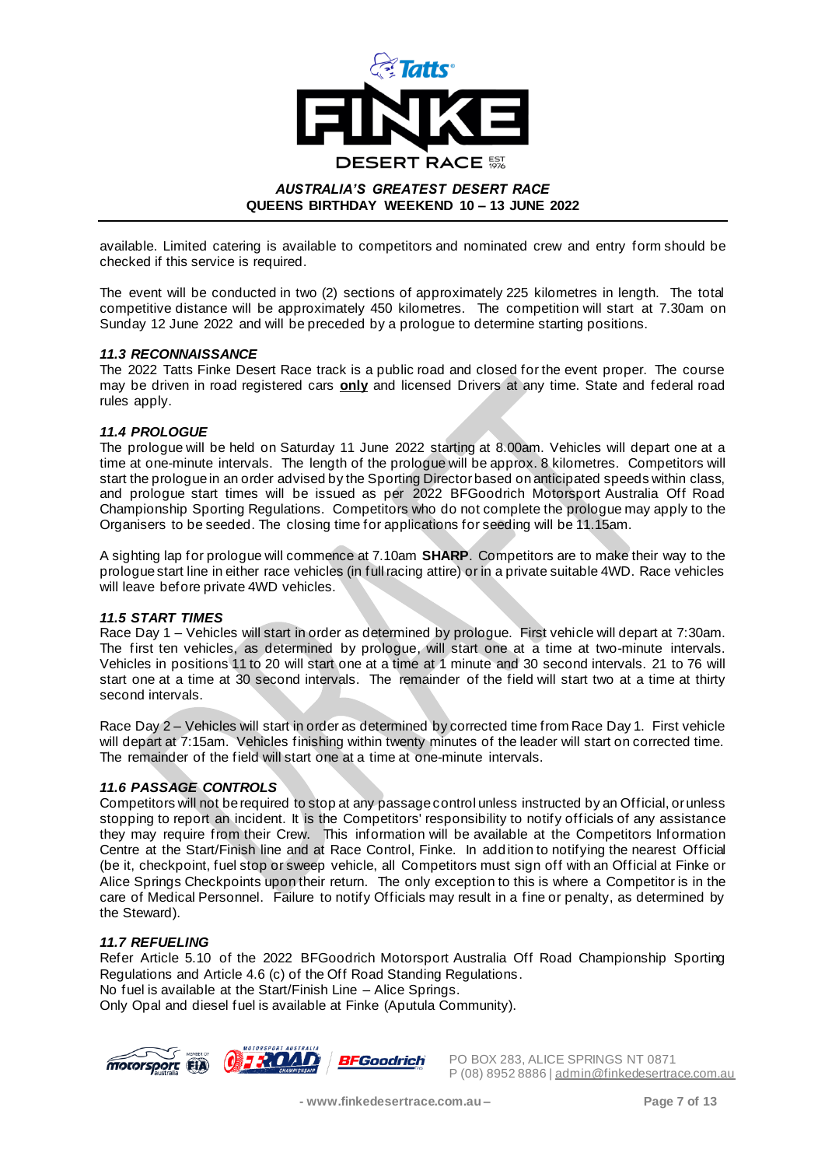

available. Limited catering is available to competitors and nominated crew and entry form should be checked if this service is required.

The event will be conducted in two (2) sections of approximately 225 kilometres in length. The total competitive distance will be approximately 450 kilometres. The competition will start at 7.30am on Sunday 12 June 2022 and will be preceded by a prologue to determine starting positions.

#### *11.3 RECONNAISSANCE*

The 2022 Tatts Finke Desert Race track is a public road and closed for the event proper. The course may be driven in road registered cars **only** and licensed Drivers at any time. State and federal road rules apply.

#### *11.4 PROLOGUE*

The prologue will be held on Saturday 11 June 2022 starting at 8.00am. Vehicles will depart one at a time at one-minute intervals. The length of the prologue will be approx. 8 kilometres. Competitors will start the prologue in an order advised by the Sporting Directorbased on anticipated speeds within class, and prologue start times will be issued as per 2022 BFGoodrich Motorsport Australia Off Road Championship Sporting Regulations. Competitors who do not complete the prologue may apply to the Organisers to be seeded. The closing time for applications for seeding will be 11.15am.

A sighting lap for prologue will commence at 7.10am **SHARP**. Competitors are to make their way to the prologue start line in either race vehicles (in full racing attire) or in a private suitable 4WD. Race vehicles will leave before private 4WD vehicles.

#### *11.5 START TIMES*

Race Day 1 – Vehicles will start in order as determined by prologue. First vehicle will depart at 7:30am. The first ten vehicles, as determined by prologue, will start one at a time at two-minute intervals. Vehicles in positions 11 to 20 will start one at a time at 1 minute and 30 second intervals. 21 to 76 will start one at a time at 30 second intervals. The remainder of the field will start two at a time at thirty second intervals.

Race Day 2 – Vehicles will start in order as determined by corrected time from Race Day 1. First vehicle will depart at 7:15am. Vehicles finishing within twenty minutes of the leader will start on corrected time. The remainder of the field will start one at a time at one-minute intervals.

## *11.6 PASSAGE CONTROLS*

Competitors will not be required to stop at any passage control unless instructed by an Official, or unless stopping to report an incident. It is the Competitors' responsibility to notify officials of any assistance they may require from their Crew. This information will be available at the Competitors Information Centre at the Start/Finish line and at Race Control, Finke. In addition to notifying the nearest Official (be it, checkpoint, fuel stop or sweep vehicle, all Competitors must sign off with an Official at Finke or Alice Springs Checkpoints upon their return. The only exception to this is where a Competitor is in the care of Medical Personnel. Failure to notify Officials may result in a fine or penalty, as determined by the Steward).

## *11.7 REFUELING*

Refer Article 5.10 of the 2022 BFGoodrich Motorsport Australia Off Road Championship Sporting Regulations and Article 4.6 (c) of the Off Road Standing Regulations. No fuel is available at the Start/Finish Line – Alice Springs.

Only Opal and diesel fuel is available at Finke (Aputula Community).

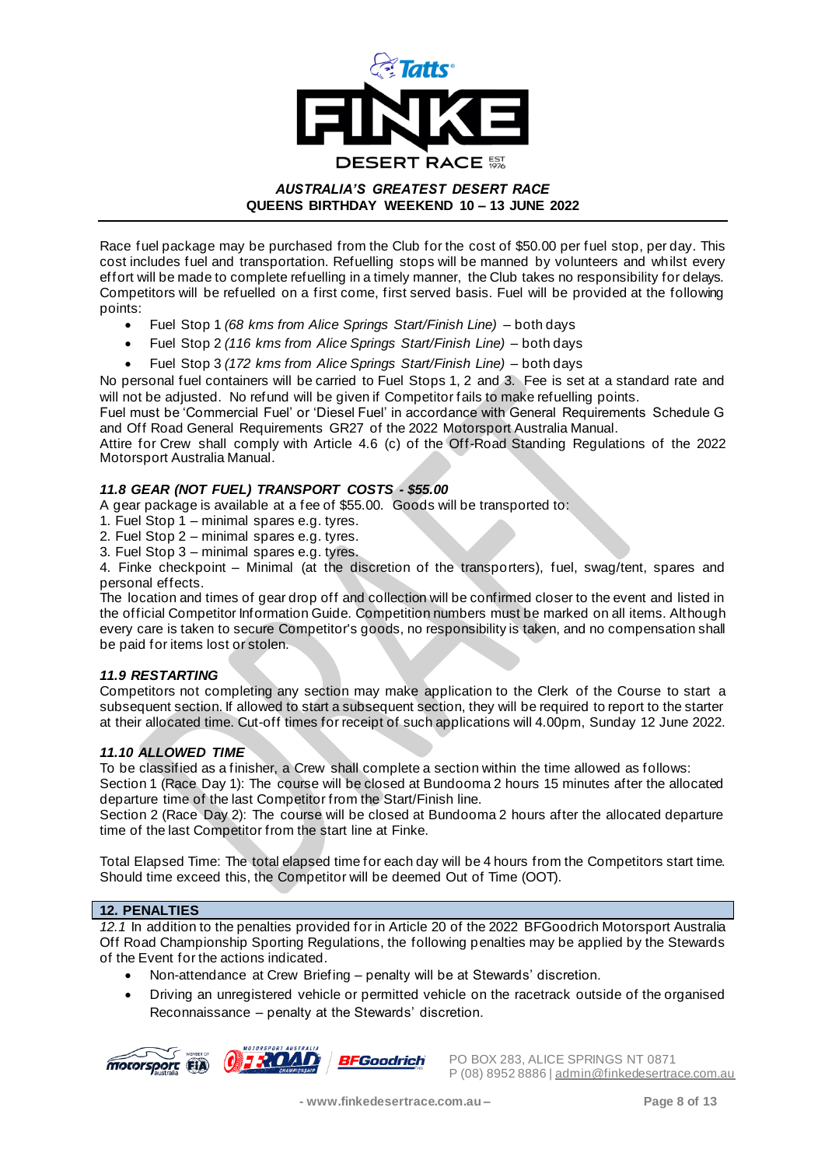

Race fuel package may be purchased from the Club for the cost of \$50.00 per fuel stop, per day. This cost includes fuel and transportation. Refuelling stops will be manned by volunteers and whilst every effort will be made to complete refuelling in a timely manner, the Club takes no responsibility for delays. Competitors will be refuelled on a first come, first served basis. Fuel will be provided at the following points:

- Fuel Stop 1 *(68 kms from Alice Springs Start/Finish Line)* both days
- Fuel Stop 2 *(116 kms from Alice Springs Start/Finish Line)* both days
- Fuel Stop 3 *(172 kms from Alice Springs Start/Finish Line)*  both days

No personal fuel containers will be carried to Fuel Stops 1, 2 and 3. Fee is set at a standard rate and will not be adjusted. No refund will be given if Competitor fails to make refuelling points.

Fuel must be 'Commercial Fuel' or 'Diesel Fuel' in accordance with General Requirements Schedule G and Off Road General Requirements GR27 of the 2022 Motorsport Australia Manual.

Attire for Crew shall comply with Article 4.6 (c) of the Off-Road Standing Regulations of the 2022 Motorsport Australia Manual.

## *11.8 GEAR (NOT FUEL) TRANSPORT COSTS - \$55.00*

A gear package is available at a fee of \$55.00. Goods will be transported to:

- 1. Fuel Stop 1 minimal spares e.g. tyres.
- 2. Fuel Stop 2 minimal spares e.g. tyres.
- 3. Fuel Stop 3 minimal spares e.g. tyres.

4. Finke checkpoint – Minimal (at the discretion of the transporters), fuel, swag/tent, spares and personal effects.

The location and times of gear drop off and collection will be confirmed closer to the event and listed in the official Competitor Information Guide. Competition numbers must be marked on all items. Although every care is taken to secure Competitor's goods, no responsibility is taken, and no compensation shall be paid for items lost or stolen.

#### *11.9 RESTARTING*

Competitors not completing any section may make application to the Clerk of the Course to start a subsequent section. If allowed to start a subsequent section, they will be required to report to the starter at their allocated time. Cut-off times for receipt of such applications will 4.00pm, Sunday 12 June 2022.

#### *11.10 ALLOWED TIME*

To be classified as a finisher, a Crew shall complete a section within the time allowed as follows: Section 1 (Race Day 1): The course will be closed at Bundooma 2 hours 15 minutes after the allocated

departure time of the last Competitor from the Start/Finish line. Section 2 (Race Day 2): The course will be closed at Bundooma 2 hours after the allocated departure time of the last Competitor from the start line at Finke.

Total Elapsed Time: The total elapsed time for each day will be 4 hours from the Competitors start time. Should time exceed this, the Competitor will be deemed Out of Time (OOT).

#### **12. PENALTIES**

*12.1* In addition to the penalties provided for in Article 20 of the 2022 BFGoodrich Motorsport Australia Off Road Championship Sporting Regulations, the following penalties may be applied by the Stewards of the Event for the actions indicated.

- Non-attendance at Crew Briefing penalty will be at Stewards' discretion.
- Driving an unregistered vehicle or permitted vehicle on the racetrack outside of the organised Reconnaissance – penalty at the Stewards' discretion.





**MOTORSPOTE CONDUCT 283, ALICE SPRINGS NT 0871** P (08) 8952 8886 | admin@finkedesertrace.com.au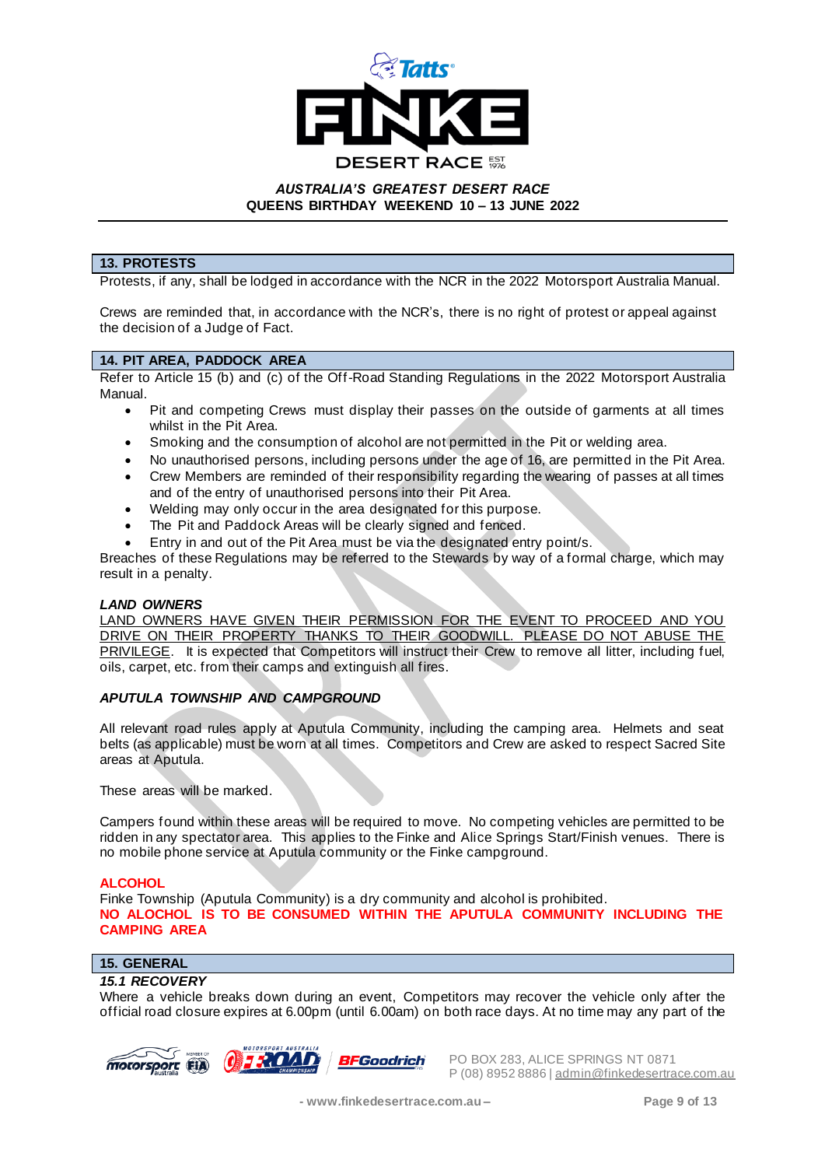

## **13. PROTESTS**

Protests, if any, shall be lodged in accordance with the NCR in the 2022 Motorsport Australia Manual.

Crews are reminded that, in accordance with the NCR's, there is no right of protest or appeal against the decision of a Judge of Fact.

## **14. PIT AREA, PADDOCK AREA**

Refer to Article 15 (b) and (c) of the Off-Road Standing Regulations in the 2022 Motorsport Australia Manual.

- Pit and competing Crews must display their passes on the outside of garments at all times whilst in the Pit Area.
- Smoking and the consumption of alcohol are not permitted in the Pit or welding area.
- No unauthorised persons, including persons under the age of 16, are permitted in the Pit Area.
- Crew Members are reminded of their responsibility regarding the wearing of passes at all times and of the entry of unauthorised persons into their Pit Area.
- Welding may only occur in the area designated for this purpose.
- The Pit and Paddock Areas will be clearly signed and fenced.
- Entry in and out of the Pit Area must be via the designated entry point/s.

Breaches of these Regulations may be referred to the Stewards by way of a formal charge, which may result in a penalty.

#### *LAND OWNERS*

LAND OWNERS HAVE GIVEN THEIR PERMISSION FOR THE EVENT TO PROCEED AND YOU DRIVE ON THEIR PROPERTY THANKS TO THEIR GOODWILL. PLEASE DO NOT ABUSE THE PRIVILEGE. It is expected that Competitors will instruct their Crew to remove all litter, including fuel, oils, carpet, etc. from their camps and extinguish all fires.

#### *APUTULA TOWNSHIP AND CAMPGROUND*

All relevant road rules apply at Aputula Community, including the camping area. Helmets and seat belts (as applicable) must be worn at all times. Competitors and Crew are asked to respect Sacred Site areas at Aputula.

These areas will be marked.

Campers found within these areas will be required to move. No competing vehicles are permitted to be ridden in any spectator area. This applies to the Finke and Alice Springs Start/Finish venues. There is no mobile phone service at Aputula community or the Finke campground.

#### **ALCOHOL**

Finke Township (Aputula Community) is a dry community and alcohol is prohibited. **NO ALOCHOL IS TO BE CONSUMED WITHIN THE APUTULA COMMUNITY INCLUDING THE CAMPING AREA** 

## **15. GENERAL**

#### *15.1 RECOVERY*

Where a vehicle breaks down during an event, Competitors may recover the vehicle only after the official road closure expires at 6.00pm (until 6.00am) on both race days. At no time may any part of the





**MOTORSPOTE CONDUCT 283, ALICE SPRINGS NT 0871** P (08) 8952 8886 | admin@finkedesertrace.com.au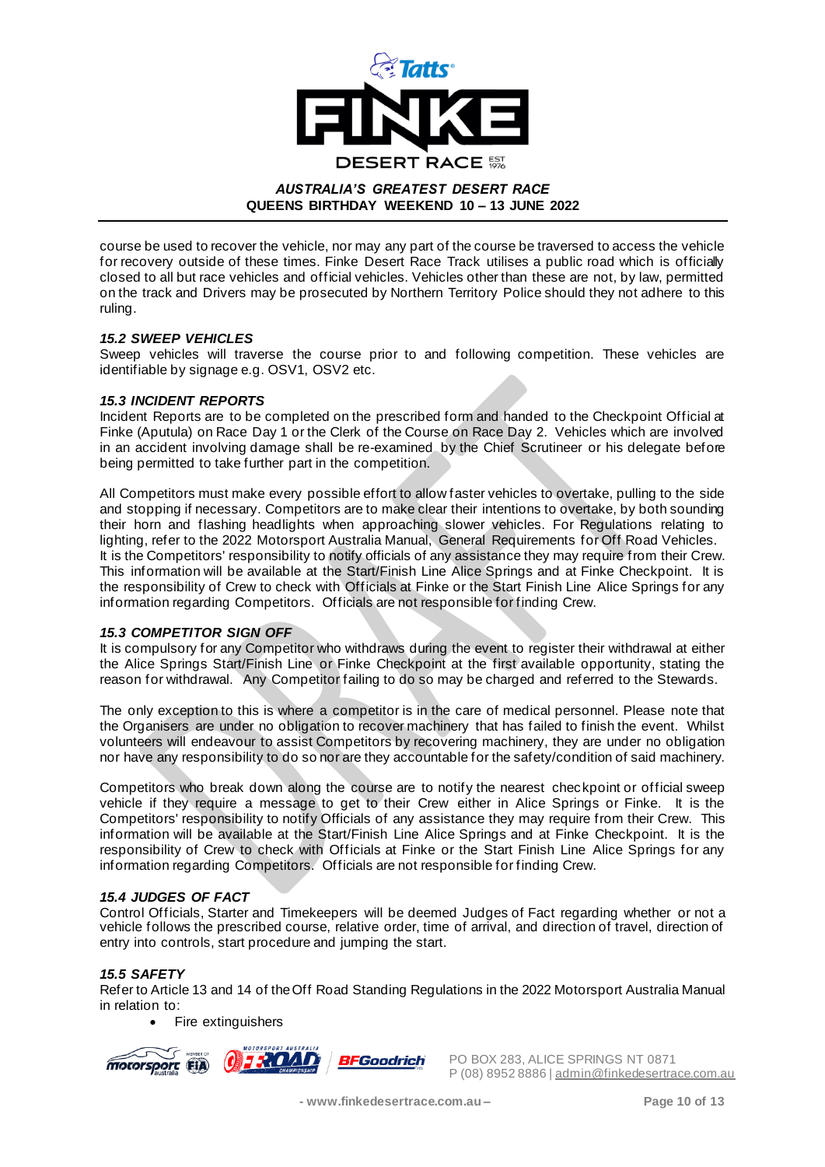

course be used to recover the vehicle, nor may any part of the course be traversed to access the vehicle for recovery outside of these times. Finke Desert Race Track utilises a public road which is officially closed to all but race vehicles and official vehicles. Vehicles other than these are not, by law, permitted on the track and Drivers may be prosecuted by Northern Territory Police should they not adhere to this ruling.

#### *15.2 SWEEP VEHICLES*

Sweep vehicles will traverse the course prior to and following competition. These vehicles are identifiable by signage e.g. OSV1, OSV2 etc.

#### *15.3 INCIDENT REPORTS*

Incident Reports are to be completed on the prescribed form and handed to the Checkpoint Official at Finke (Aputula) on Race Day 1 or the Clerk of the Course on Race Day 2. Vehicles which are involved in an accident involving damage shall be re-examined by the Chief Scrutineer or his delegate before being permitted to take further part in the competition.

All Competitors must make every possible effort to allow faster vehicles to overtake, pulling to the side and stopping if necessary. Competitors are to make clear their intentions to overtake, by both sounding their horn and flashing headlights when approaching slower vehicles. For Regulations relating to lighting, refer to the 2022 Motorsport Australia Manual, General Requirements for Off Road Vehicles. It is the Competitors' responsibility to notify officials of any assistance they may require from their Crew. This information will be available at the Start/Finish Line Alice Springs and at Finke Checkpoint. It is the responsibility of Crew to check with Officials at Finke or the Start Finish Line Alice Springs for any information regarding Competitors. Officials are not responsible for finding Crew.

#### *15.3 COMPETITOR SIGN OFF*

It is compulsory for any Competitor who withdraws during the event to register their withdrawal at either the Alice Springs Start/Finish Line or Finke Checkpoint at the first available opportunity, stating the reason for withdrawal. Any Competitor failing to do so may be charged and referred to the Stewards.

The only exception to this is where a competitor is in the care of medical personnel. Please note that the Organisers are under no obligation to recover machinery that has failed to finish the event. Whilst volunteers will endeavour to assist Competitors by recovering machinery, they are under no obligation nor have any responsibility to do so nor are they accountable for the safety/condition of said machinery.

Competitors who break down along the course are to notify the nearest checkpoint or official sweep vehicle if they require a message to get to their Crew either in Alice Springs or Finke. It is the Competitors' responsibility to notify Officials of any assistance they may require from their Crew. This information will be available at the Start/Finish Line Alice Springs and at Finke Checkpoint. It is the responsibility of Crew to check with Officials at Finke or the Start Finish Line Alice Springs for any information regarding Competitors. Officials are not responsible for finding Crew.

#### *15.4 JUDGES OF FACT*

Control Officials, Starter and Timekeepers will be deemed Judges of Fact regarding whether or not a vehicle follows the prescribed course, relative order, time of arrival, and direction of travel, direction of entry into controls, start procedure and jumping the start.

#### *15.5 SAFETY*

Refer to Article 13 and 14 of the Off Road Standing Regulations in the 2022 Motorsport Australia Manual in relation to:

• Fire extinguishers

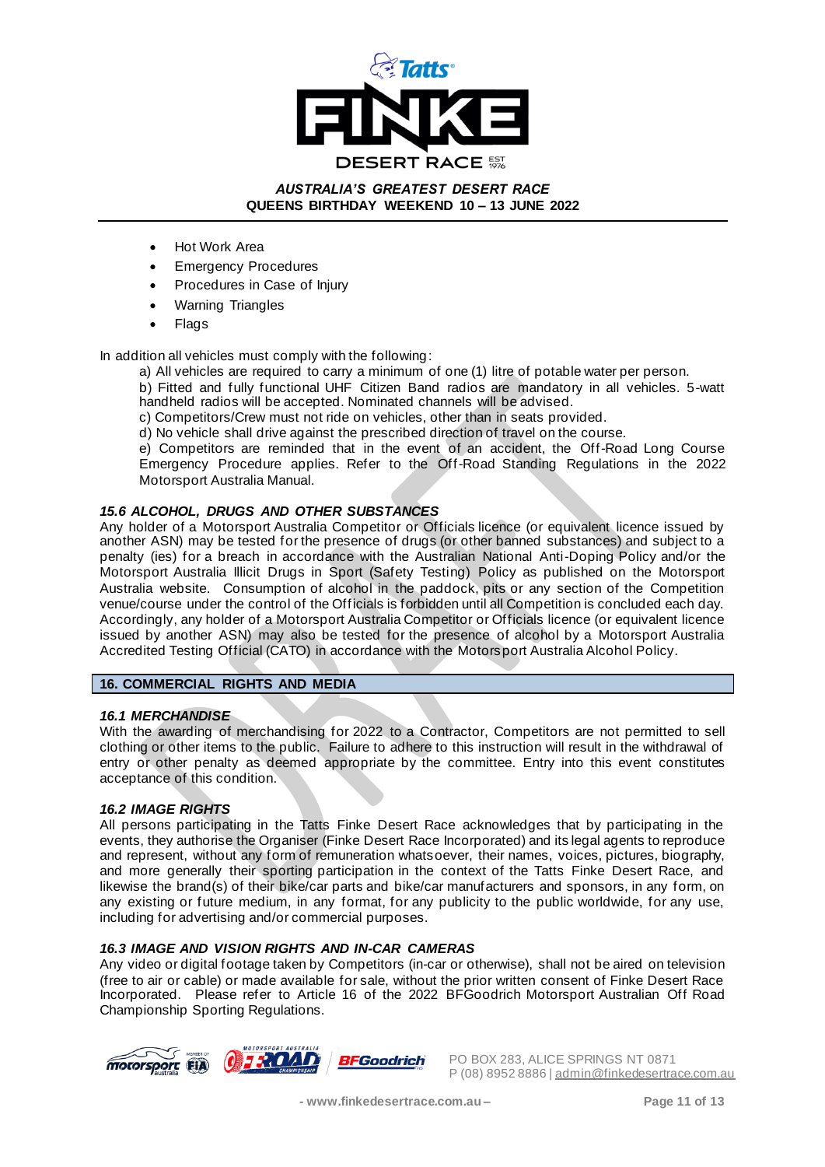

- Hot Work Area
- **Emergency Procedures**
- Procedures in Case of Injury
- Warning Triangles
- Flags

In addition all vehicles must comply with the following:

a) All vehicles are required to carry a minimum of one (1) litre of potable water per person.

b) Fitted and fully functional UHF Citizen Band radios are mandatory in all vehicles. 5-watt handheld radios will be accepted. Nominated channels will be advised.

c) Competitors/Crew must not ride on vehicles, other than in seats provided.

d) No vehicle shall drive against the prescribed direction of travel on the course.

e) Competitors are reminded that in the event of an accident, the Off-Road Long Course Emergency Procedure applies. Refer to the Off-Road Standing Regulations in the 2022 Motorsport Australia Manual.

## *15.6 ALCOHOL, DRUGS AND OTHER SUBSTANCES*

Any holder of a Motorsport Australia Competitor or Officials licence (or equivalent licence issued by another ASN) may be tested for the presence of drugs (or other banned substances) and subject to a penalty (ies) for a breach in accordance with the Australian National Anti-Doping Policy and/or the Motorsport Australia Illicit Drugs in Sport (Safety Testing) Policy as published on the Motorsport Australia website. Consumption of alcohol in the paddock, pits or any section of the Competition venue/course under the control of the Officials is forbidden until all Competition is concluded each day. Accordingly, any holder of a Motorsport Australia Competitor or Officials licence (or equivalent licence issued by another ASN) may also be tested for the presence of alcohol by a Motorsport Australia Accredited Testing Official (CATO) in accordance with the Motorsport Australia Alcohol Policy.

#### **16. COMMERCIAL RIGHTS AND MEDIA**

#### *16.1 MERCHANDISE*

With the awarding of merchandising for 2022 to a Contractor, Competitors are not permitted to sell clothing or other items to the public. Failure to adhere to this instruction will result in the withdrawal of entry or other penalty as deemed appropriate by the committee. Entry into this event constitutes acceptance of this condition.

#### *16.2 IMAGE RIGHTS*

All persons participating in the Tatts Finke Desert Race acknowledges that by participating in the events, they authorise the Organiser (Finke Desert Race Incorporated) and its legal agents to reproduce and represent, without any form of remuneration whatsoever, their names, voices, pictures, biography, and more generally their sporting participation in the context of the Tatts Finke Desert Race, and likewise the brand(s) of their bike/car parts and bike/car manufacturers and sponsors, in any form, on any existing or future medium, in any format, for any publicity to the public worldwide, for any use, including for advertising and/or commercial purposes.

## *16.3 IMAGE AND VISION RIGHTS AND IN-CAR CAMERAS*

Any video or digital footage taken by Competitors (in-car or otherwise), shall not be aired on television (free to air or cable) or made available for sale, without the prior written consent of Finke Desert Race Incorporated. Please refer to Article 16 of the 2022 BFGoodrich Motorsport Australian Off Road Championship Sporting Regulations.

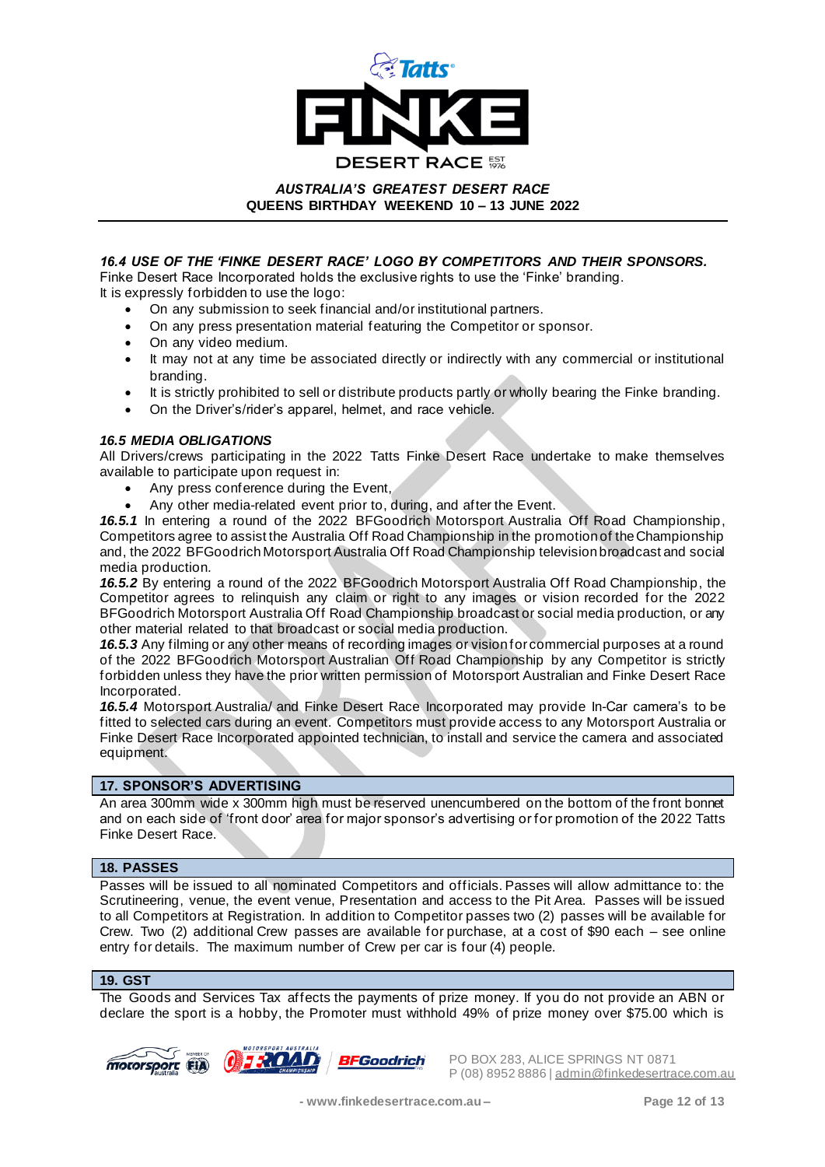

## *16.4 USE OF THE 'FINKE DESERT RACE' LOGO BY COMPETITORS AND THEIR SPONSORS.*

Finke Desert Race Incorporated holds the exclusive rights to use the 'Finke' branding. It is expressly forbidden to use the logo:

- On any submission to seek financial and/or institutional partners.
- On any press presentation material featuring the Competitor or sponsor.
- On any video medium.
- It may not at any time be associated directly or indirectly with any commercial or institutional branding.
- It is strictly prohibited to sell or distribute products partly or wholly bearing the Finke branding.
- On the Driver's/rider's apparel, helmet, and race vehicle.

## *16.5 MEDIA OBLIGATIONS*

All Drivers/crews participating in the 2022 Tatts Finke Desert Race undertake to make themselves available to participate upon request in:

- Any press conference during the Event,
- Any other media-related event prior to, during, and after the Event.

*16.5.1* In entering a round of the 2022 BFGoodrich Motorsport Australia Off Road Championship, Competitors agree to assist the Australia Off Road Championship in the promotion of the Championship and, the 2022 BFGoodrich Motorsport Australia Off Road Championship television broadcast and social media production.

*16.5.2* By entering a round of the 2022 BFGoodrich Motorsport Australia Off Road Championship, the Competitor agrees to relinquish any claim or right to any images or vision recorded for the 2022 BFGoodrich Motorsport Australia Off Road Championship broadcast or social media production, or any other material related to that broadcast or social media production.

*16.5.3* Any filming or any other means of recording images or vision for commercial purposes at a round of the 2022 BFGoodrich Motorsport Australian Off Road Championship by any Competitor is strictly forbidden unless they have the prior written permission of Motorsport Australian and Finke Desert Race Incorporated.

*16.5.4* Motorsport Australia/ and Finke Desert Race Incorporated may provide In-Car camera's to be fitted to selected cars during an event. Competitors must provide access to any Motorsport Australia or Finke Desert Race Incorporated appointed technician, to install and service the camera and associated equipment.

## **17. SPONSOR'S ADVERTISING**

An area 300mm wide x 300mm high must be reserved unencumbered on the bottom of the front bonnet and on each side of 'front door' area for major sponsor's advertising or for promotion of the 2022 Tatts Finke Desert Race.

## **18. PASSES**

Passes will be issued to all nominated Competitors and officials. Passes will allow admittance to: the Scrutineering, venue, the event venue, Presentation and access to the Pit Area. Passes will be issued to all Competitors at Registration. In addition to Competitor passes two (2) passes will be available for Crew. Two (2) additional Crew passes are available for purchase, at a cost of \$90 each – see online entry for details. The maximum number of Crew per car is four (4) people.

## **19. GST**

The Goods and Services Tax affects the payments of prize money. If you do not provide an ABN or declare the sport is a hobby, the Promoter must withhold 49% of prize money over \$75.00 which is





 $\widetilde{m}$   $\widetilde{m}$   $\widetilde{m}$   $\widetilde{m}$   $\widetilde{m}$   $\widetilde{m}$   $\widetilde{m}$   $\widetilde{m}$   $\widetilde{m}$   $\widetilde{m}$   $\widetilde{m}$   $\widetilde{m}$   $\widetilde{m}$   $\widetilde{m}$   $\widetilde{m}$   $\widetilde{m}$   $\widetilde{m}$   $\widetilde{m}$   $\widetilde{m}$   $\widetilde{m}$   $\widetilde{m}$   $\widetilde{m}$  P (08) 8952 8886 | admin@finkedesertrace.com.au